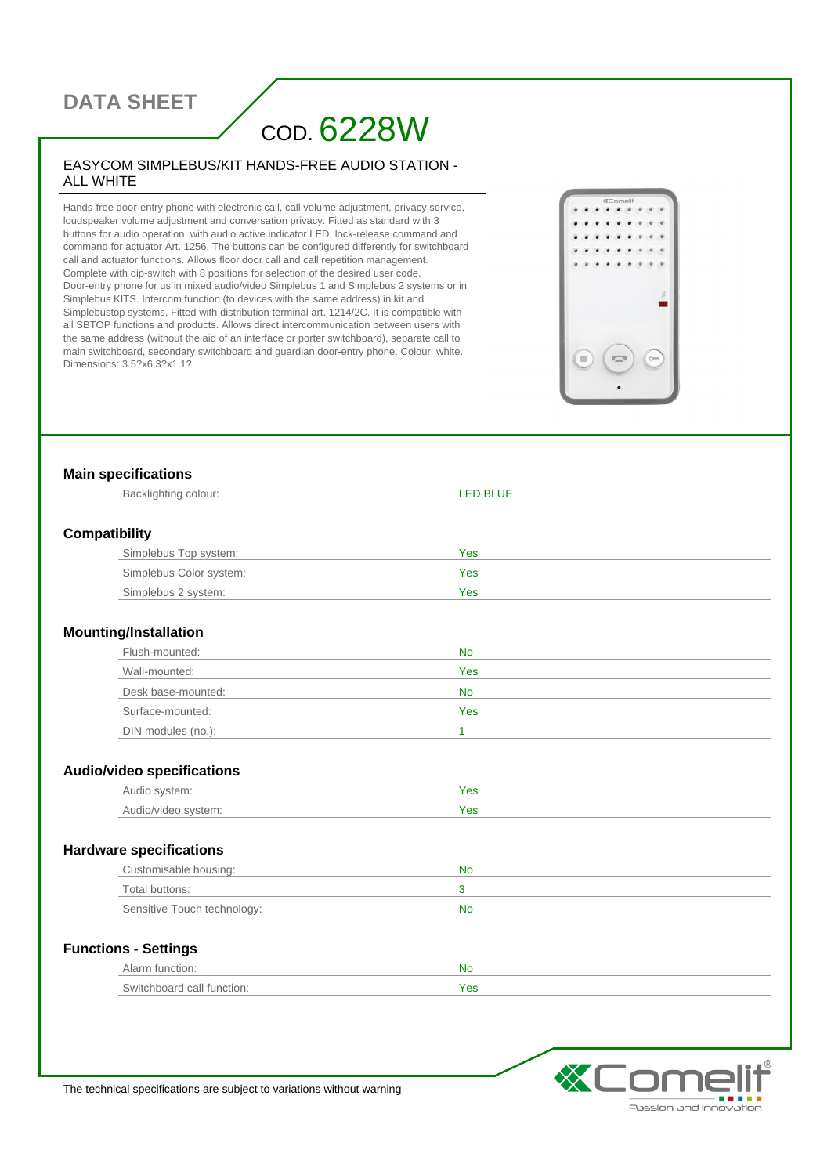# **DATA SHEET**

# COD. 6228W

#### EASYCOM SIMPLEBUS/KIT HANDS-FREE AUDIO STATION - ALL WHITE

Hands-free door-entry phone with electronic call, call volume adjustment, privacy service, loudspeaker volume adjustment and conversation privacy. Fitted as standard with 3 buttons for audio operation, with audio active indicator LED, lock-release command and command for actuator Art. 1256. The buttons can be configured differently for switchboard call and actuator functions. Allows floor door call and call repetition management. Complete with dip-switch with 8 positions for selection of the desired user code. Door-entry phone for us in mixed audio/video Simplebus 1 and Simplebus 2 systems or in Simplebus KITS. Intercom function (to devices with the same address) in kit and Simplebustop systems. Fitted with distribution terminal art. 1214/2C. It is compatible with all SBTOP functions and products. Allows direct intercommunication between users with the same address (without the aid of an interface or porter switchboard), separate call to main switchboard, secondary switchboard and guardian door-entry phone. Colour: white. Dimensions: 3.5?x6.3?x1.1?



#### **Main specifications**

| Backlighting colour:              | <b>LED BLUE</b> |
|-----------------------------------|-----------------|
| <b>Compatibility</b>              |                 |
| Simplebus Top system:             | <b>Yes</b>      |
| Simplebus Color system:           | Yes             |
| Simplebus 2 system:               | Yes             |
| <b>Mounting/Installation</b>      |                 |
| Flush-mounted:                    | <b>No</b>       |
| Wall-mounted:                     | Yes             |
| Desk base-mounted:                | <b>No</b>       |
| Surface-mounted:                  | Yes             |
| DIN modules (no.):                | $\mathbf{1}$    |
|                                   |                 |
| <b>Audio/video specifications</b> |                 |
| Audio system:                     | <b>Yes</b>      |
| Audio/video system:               | Yes             |
| <b>Hardware specifications</b>    |                 |
| Customisable housing:             | <b>No</b>       |
| Total buttons:                    | 3               |
| Sensitive Touch technology:       | <b>No</b>       |
| <b>Functions - Settings</b>       |                 |
| Alarm function:                   | <b>No</b>       |
| Switchboard call function:        | Yes             |



The technical specifications are subject to variations without warning